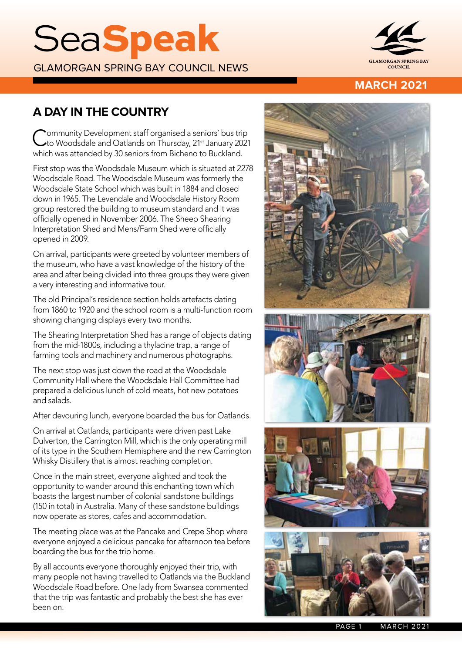# **SeaSpeak**

GLAMORGAN SPRING BAY COUNCIL NEWS



## **MARCH 2021**

# **A DAY IN THE COUNTRY**

Community Development staff organised a seniors' bus trip<br>C to Woodsdale and Oatlands on Thursday, 21<sup>st</sup> January 2021 which was attended by 30 seniors from Bicheno to Buckland.

First stop was the Woodsdale Museum which is situated at 2278 Woodsdale Road. The Woodsdale Museum was formerly the Woodsdale State School which was built in 1884 and closed down in 1965. The Levendale and Woodsdale History Room group restored the building to museum standard and it was officially opened in November 2006. The Sheep Shearing Interpretation Shed and Mens/Farm Shed were officially opened in 2009.

On arrival, participants were greeted by volunteer members of the museum, who have a vast knowledge of the history of the area and after being divided into three groups they were given a very interesting and informative tour.

The old Principal's residence section holds artefacts dating from 1860 to 1920 and the school room is a multi-function room showing changing displays every two months.

The Shearing Interpretation Shed has a range of objects dating from the mid-1800s, including a thylacine trap, a range of farming tools and machinery and numerous photographs.

The next stop was just down the road at the Woodsdale Community Hall where the Woodsdale Hall Committee had prepared a delicious lunch of cold meats, hot new potatoes and salads.

After devouring lunch, everyone boarded the bus for Oatlands.

On arrival at Oatlands, participants were driven past Lake Dulverton, the Carrington Mill, which is the only operating mill of its type in the Southern Hemisphere and the new Carrington Whisky Distillery that is almost reaching completion.

Once in the main street, everyone alighted and took the opportunity to wander around this enchanting town which boasts the largest number of colonial sandstone buildings (150 in total) in Australia. Many of these sandstone buildings now operate as stores, cafes and accommodation.

The meeting place was at the Pancake and Crepe Shop where everyone enjoyed a delicious pancake for afternoon tea before boarding the bus for the trip home.

By all accounts everyone thoroughly enjoyed their trip, with many people not having travelled to Oatlands via the Buckland Woodsdale Road before. One lady from Swansea commented that the trip was fantastic and probably the best she has ever been on.



PAGE 1 MARCH 2021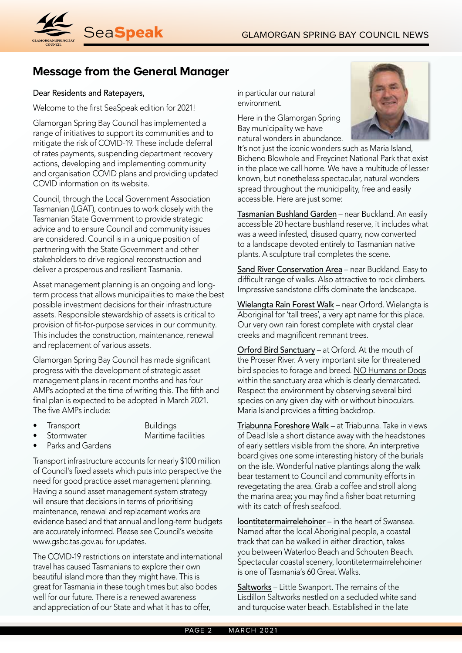

# **Message from the General Manager**

#### Dear Residents and Ratepayers,

Welcome to the first SeaSpeak edition for 2021!

Glamorgan Spring Bay Council has implemented a range of initiatives to support its communities and to mitigate the risk of COVID-19. These include deferral of rates payments, suspending department recovery actions, developing and implementing community and organisation COVID plans and providing updated COVID information on its website.

Council, through the Local Government Association Tasmanian (LGAT), continues to work closely with the Tasmanian State Government to provide strategic advice and to ensure Council and community issues are considered. Council is in a unique position of partnering with the State Government and other stakeholders to drive regional reconstruction and deliver a prosperous and resilient Tasmania.

Asset management planning is an ongoing and longterm process that allows municipalities to make the best possible investment decisions for their infrastructure assets. Responsible stewardship of assets is critical to provision of fit-for-purpose services in our community. This includes the construction, maintenance, renewal and replacement of various assets.

Glamorgan Spring Bay Council has made significant progress with the development of strategic asset management plans in recent months and has four AMPs adopted at the time of writing this. The fifth and final plan is expected to be adopted in March 2021. The five AMPs include:

• Transport Buildings

• Stormwater Maritime facilities

Parks and Gardens

Transport infrastructure accounts for nearly \$100 million of Council's fixed assets which puts into perspective the need for good practice asset management planning. Having a sound asset management system strategy will ensure that decisions in terms of prioritising maintenance, renewal and replacement works are evidence based and that annual and long-term budgets are accurately informed. Please see Council's website www.gsbc.tas.gov.au for updates.

The COVID-19 restrictions on interstate and international travel has caused Tasmanians to explore their own beautiful island more than they might have. This is great for Tasmania in these tough times but also bodes well for our future. There is a renewed awareness and appreciation of our State and what it has to offer,

in particular our natural environment.

Here in the Glamorgan Spring Bay municipality we have natural wonders in abundance.



It's not just the iconic wonders such as Maria Island, Bicheno Blowhole and Freycinet National Park that exist in the place we call home. We have a multitude of lesser known, but nonetheless spectacular, natural wonders spread throughout the municipality, free and easily accessible. Here are just some:

Tasmanian Bushland Garden - near Buckland. An easily accessible 20 hectare bushland reserve, it includes what was a weed infested, disused quarry, now converted to a landscape devoted entirely to Tasmanian native plants. A sculpture trail completes the scene.

Sand River Conservation Area – near Buckland. Easy to difficult range of walks. Also attractive to rock climbers. Impressive sandstone cliffs dominate the landscape.

Wielangta Rain Forest Walk – near Orford. Wielangta is Aboriginal for 'tall trees', a very apt name for this place. Our very own rain forest complete with crystal clear creeks and magnificent remnant trees.

Orford Bird Sanctuary – at Orford. At the mouth of the Prosser River. A very important site for threatened bird species to forage and breed. NO Humans or Dogs within the sanctuary area which is clearly demarcated. Respect the environment by observing several bird species on any given day with or without binoculars. Maria Island provides a fitting backdrop.

Triabunna Foreshore Walk - at Triabunna. Take in views of Dead Isle a short distance away with the headstones of early settlers visible from the shore. An interpretive board gives one some interesting history of the burials on the isle. Wonderful native plantings along the walk bear testament to Council and community efforts in revegetating the area. Grab a coffee and stroll along the marina area; you may find a fisher boat returning with its catch of fresh seafood.

loontitetermairrelehoiner – in the heart of Swansea. Named after the local Aboriginal people, a coastal track that can be walked in either direction, takes you between Waterloo Beach and Schouten Beach. Spectacular coastal scenery, loontitetermairrelehoiner is one of Tasmania's 60 Great Walks.

Saltworks – Little Swanport. The remains of the Lisdillon Saltworks nestled on a secluded white sand and turquoise water beach. Established in the late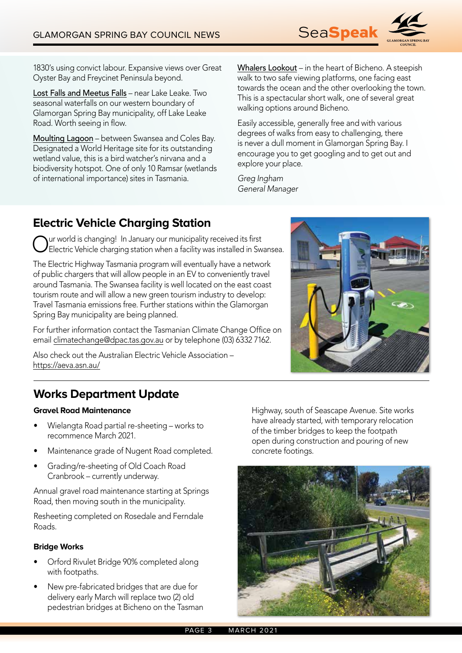

1830's using convict labour. Expansive views over Great Oyster Bay and Freycinet Peninsula beyond.

Lost Falls and Meetus Falls – near Lake Leake. Two seasonal waterfalls on our western boundary of Glamorgan Spring Bay municipality, off Lake Leake Road. Worth seeing in flow.

Moulting Lagoon – between Swansea and Coles Bay. Designated a World Heritage site for its outstanding wetland value, this is a bird watcher's nirvana and a biodiversity hotspot. One of only 10 Ramsar (wetlands of international importance) sites in Tasmania.

Whalers Lookout – in the heart of Bicheno. A steepish walk to two safe viewing platforms, one facing east towards the ocean and the other overlooking the town. This is a spectacular short walk, one of several great walking options around Bicheno.

Easily accessible, generally free and with various degrees of walks from easy to challenging, there is never a dull moment in Glamorgan Spring Bay. I encourage you to get googling and to get out and explore your place.

*Greg Ingham General Manager*

# **Electric Vehicle Charging Station**

Our world is changing! In January our municipality received its first Electric Vehicle charging station when a facility was installed in Swansea.

The Electric Highway Tasmania program will eventually have a network of public chargers that will allow people in an EV to conveniently travel around Tasmania. The Swansea facility is well located on the east coast tourism route and will allow a new green tourism industry to develop: Travel Tasmania emissions free. Further stations within the Glamorgan Spring Bay municipality are being planned.

For further information contact the Tasmanian Climate Change Office on email climatechange@dpac.tas.gov.au or by telephone (03) 6332 7162.

Also check out the Australian Electric Vehicle Association – https://aeva.asn.au/



# **Works Department Update**

#### **Gravel Road Maintenance**

- Wielangta Road partial re-sheeting works to recommence March 2021.
- Maintenance grade of Nugent Road completed.
- Grading/re-sheeting of Old Coach Road Cranbrook – currently underway.

Annual gravel road maintenance starting at Springs Road, then moving south in the municipality.

Resheeting completed on Rosedale and Ferndale Roads.

#### **Bridge Works**

- Orford Rivulet Bridge 90% completed along with footpaths.
- New pre-fabricated bridges that are due for delivery early March will replace two (2) old pedestrian bridges at Bicheno on the Tasman

Highway, south of Seascape Avenue. Site works have already started, with temporary relocation of the timber bridges to keep the footpath open during construction and pouring of new concrete footings.

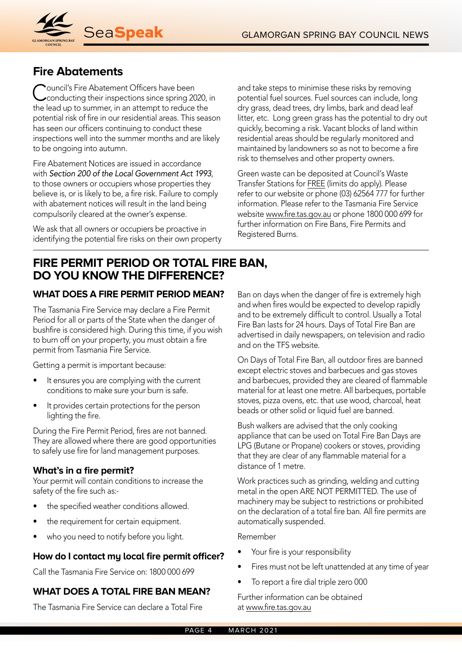

## **Fire Abatements**

Council's Fire Abatement Officers have been<br>Conducting their inspections since spring 2020, in the lead up to summer, in an attempt to reduce the potential risk of fire in our residential areas. This season has seen our officers continuing to conduct these inspections well into the summer months and are likely to be ongoing into autumn.

Fire Abatement Notices are issued in accordance with *Section 200 of the Local Government Act 1993*, to those owners or occupiers whose properties they believe is, or is likely to be, a fire risk. Failure to comply with abatement notices will result in the land being compulsorily cleared at the owner's expense.

We ask that all owners or occupiers be proactive in identifying the potential fire risks on their own property

and take steps to minimise these risks by removing potential fuel sources. Fuel sources can include, long dry grass, dead trees, dry limbs, bark and dead leaf litter, etc. Long green grass has the potential to dry out quickly, becoming a risk. Vacant blocks of land within residential areas should be regularly monitored and maintained by landowners so as not to become a fire risk to themselves and other property owners.

Green waste can be deposited at Council's Waste Transfer Stations for FREE (limits do apply). Please refer to our website or phone (03) 62564 777 for further information. Please refer to the Tasmania Fire Service website www.fire.tas.gov.au or phone 1800 000 699 for further information on Fire Bans, Fire Permits and Registered Burns.

## **FIRE PERMIT PERIOD OR TOTAL FIRE BAN, DO YOU KNOW THE DIFFERENCE?**

## **WHAT DOES A FIRE PERMIT PERIOD MEAN?**

The Tasmania Fire Service may declare a Fire Permit Period for all or parts of the State when the danger of bushfire is considered high. During this time, if you wish to burn off on your property, you must obtain a fire permit from Tasmania Fire Service.

Getting a permit is important because:

- It ensures you are complying with the current conditions to make sure your burn is safe.
- It provides certain protections for the person lighting the fire.

During the Fire Permit Period, fires are not banned. They are allowed where there are good opportunities to safely use fire for land management purposes.

## **What's in a fire permit?**

Your permit will contain conditions to increase the safety of the fire such as:-

- the specified weather conditions allowed.
- the requirement for certain equipment.
- who you need to notify before you light.

## **How do I contact my local fire permit officer?**

Call the Tasmania Fire Service on: 1800 000 699

## **WHAT DOES A TOTAL FIRE BAN MEAN?**

The Tasmania Fire Service can declare a Total Fire

Ban on days when the danger of fire is extremely high and when fires would be expected to develop rapidly and to be extremely difficult to control. Usually a Total Fire Ban lasts for 24 hours. Days of Total Fire Ban are advertised in daily newspapers, on television and radio and on the TFS website.

On Days of Total Fire Ban, all outdoor fires are banned except electric stoves and barbecues and gas stoves and barbecues, provided they are cleared of flammable material for at least one metre. All barbeques, portable stoves, pizza ovens, etc. that use wood, charcoal, heat beads or other solid or liquid fuel are banned.

Bush walkers are advised that the only cooking appliance that can be used on Total Fire Ban Days are LPG (Butane or Propane) cookers or stoves, providing that they are clear of any flammable material for a distance of 1 metre.

Work practices such as grinding, welding and cutting metal in the open ARE NOT PERMITTED. The use of machinery may be subject to restrictions or prohibited on the declaration of a total fire ban. All fire permits are automatically suspended.

#### Remember

- Your fire is your responsibility
- Fires must not be left unattended at any time of year
- To report a fire dial triple zero 000

Further information can be obtained at www.fire.tas.gov.au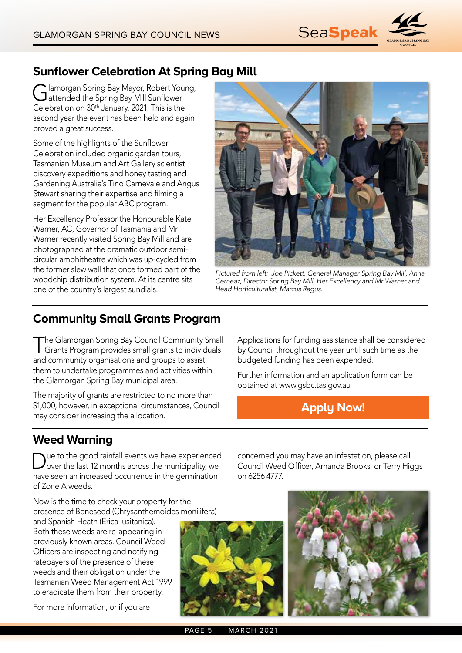

# **Sunflower Celebration At Spring Bay Mill**

Glamorgan Spring Bay Mayor, Robert Young,<br>
intended the Spring Bay Mill Sunflower Celebration on 30<sup>th</sup> January, 2021. This is the second year the event has been held and again proved a great success.

Some of the highlights of the Sunflower Celebration included organic garden tours, Tasmanian Museum and Art Gallery scientist discovery expeditions and honey tasting and Gardening Australia's Tino Carnevale and Angus Stewart sharing their expertise and filming a segment for the popular ABC program.

Her Excellency Professor the Honourable Kate Warner, AC, Governor of Tasmania and Mr Warner recently visited Spring Bay Mill and are photographed at the dramatic outdoor semicircular amphitheatre which was up-cycled from the former slew wall that once formed part of the woodchip distribution system. At its centre sits one of the country's largest sundials.



*Pictured from left: Joe Pickett, General Manager Spring Bay Mill, Anna Cerneaz, Director Spring Bay Mill, Her Excellency and Mr Warner and Head Horticulturalist, Marcus Ragus.*

# **Community Small Grants Program**

The Glamorgan Spring Bay Council Community Small Grants Program provides small grants to individuals and community organisations and groups to assist them to undertake programmes and activities within the Glamorgan Spring Bay municipal area.

The majority of grants are restricted to no more than \$1,000, however, in exceptional circumstances, Council may consider increasing the allocation.

Applications for funding assistance shall be considered by Council throughout the year until such time as the budgeted funding has been expended.

Further information and an application form can be obtained at www.gsbc.tas.gov.au

**Apply Now!**

## **Weed Warning**

Due to the good rainfall events we have experienced over the last 12 months across the municipality, we have seen an increased occurrence in the germination of Zone A weeds.

Now is the time to check your property for the presence of Boneseed (Chrysanthemoides monilifera)

and Spanish Heath (Erica lusitanica). Both these weeds are re-appearing in previously known areas. Council Weed Officers are inspecting and notifying ratepayers of the presence of these weeds and their obligation under the Tasmanian Weed Management Act 1999 to eradicate them from their property.

For more information, or if you are



concerned you may have an infestation, please call Council Weed Officer, Amanda Brooks, or Terry Higgs on 6256 4777.

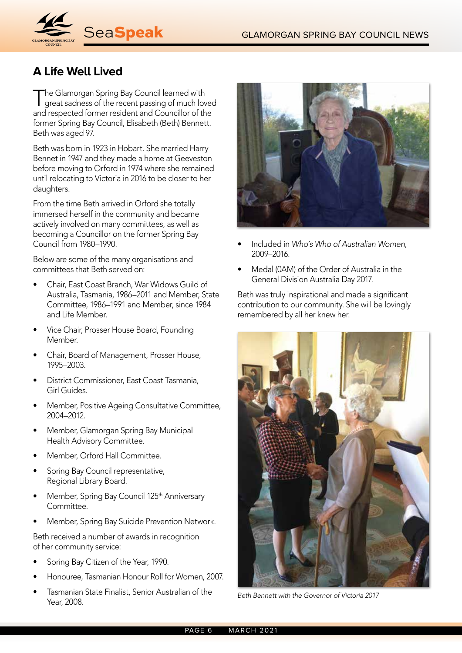

# **A Life Well Lived**

The Glamorgan Spring Bay Council learned with great sadness of the recent passing of much loved and respected former resident and Councillor of the former Spring Bay Council, Elisabeth (Beth) Bennett. Beth was aged 97.

Beth was born in 1923 in Hobart. She married Harry Bennet in 1947 and they made a home at Geeveston before moving to Orford in 1974 where she remained until relocating to Victoria in 2016 to be closer to her daughters.

From the time Beth arrived in Orford she totally immersed herself in the community and became actively involved on many committees, as well as becoming a Councillor on the former Spring Bay Council from 1980–1990.

Below are some of the many organisations and committees that Beth served on:

- Chair, East Coast Branch, War Widows Guild of Australia, Tasmania, 1986–2011 and Member, State Committee, 1986–1991 and Member, since 1984 and Life Member.
- Vice Chair, Prosser House Board, Founding Member.
- Chair, Board of Management, Prosser House, 1995–2003.
- District Commissioner, East Coast Tasmania, Girl Guides.
- Member, Positive Ageing Consultative Committee, 2004–2012.
- Member, Glamorgan Spring Bay Municipal Health Advisory Committee.
- Member, Orford Hall Committee.
- Spring Bay Council representative, Regional Library Board.
- Member, Spring Bay Council 125<sup>th</sup> Anniversary Committee.
- Member, Spring Bay Suicide Prevention Network.

Beth received a number of awards in recognition of her community service:

- Spring Bay Citizen of the Year, 1990.
- Honouree, Tasmanian Honour Roll for Women, 2007.
- Tasmanian State Finalist, Senior Australian of the Year, 2008.



- Included in *Who's Who of Australian Women,*  2009–2016.
- Medal (0AM) of the Order of Australia in the General Division Australia Day 2017.

Beth was truly inspirational and made a significant contribution to our community. She will be lovingly remembered by all her knew her.



*Beth Bennett with the Governor of Victoria 2017*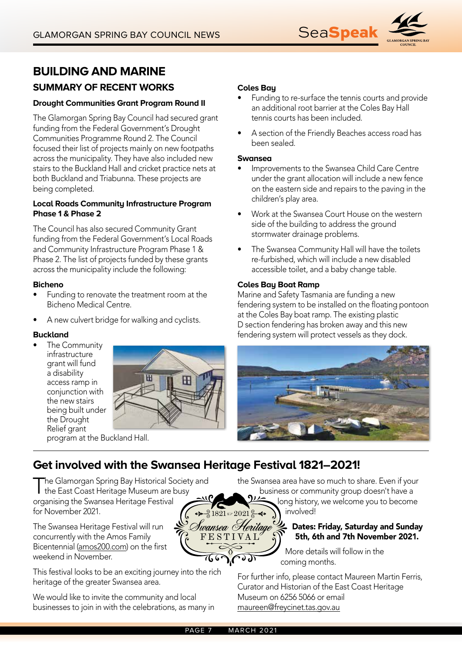

# **SUMMARY OF RECENT WORKS BUILDING AND MARINE**

#### **Drought Communities Grant Program Round II**

The Glamorgan Spring Bay Council had secured grant funding from the Federal Government's Drought Communities Programme Round 2. The Council focused their list of projects mainly on new footpaths across the municipality. They have also included new stairs to the Buckland Hall and cricket practice nets at both Buckland and Triabunna. These projects are being completed.

#### **Local Roads Community Infrastructure Program Phase 1 & Phase 2**

The Council has also secured Community Grant funding from the Federal Government's Local Roads and Community Infrastructure Program Phase 1 & Phase 2. The list of projects funded by these grants across the municipality include the following:

#### **Bicheno**

- Funding to renovate the treatment room at the Bicheno Medical Centre.
- A new culvert bridge for walking and cyclists.

#### **Buckland**

The Community infrastructure grant will fund a disability access ramp in conjunction with the new stairs being built under the Drought Relief grant



program at the Buckland Hall.

## **Coles Bay**

- Funding to re-surface the tennis courts and provide an additional root barrier at the Coles Bay Hall tennis courts has been included.
- A section of the Friendly Beaches access road has been sealed.

#### **Swansea**

- Improvements to the Swansea Child Care Centre under the grant allocation will include a new fence on the eastern side and repairs to the paving in the children's play area.
- Work at the Swansea Court House on the western side of the building to address the ground stormwater drainage problems.
- The Swansea Community Hall will have the toilets re-furbished, which will include a new disabled accessible toilet, and a baby change table.

#### **Coles Bay Boat Ramp**

Marine and Safety Tasmania are funding a new fendering system to be installed on the floating pontoon at the Coles Bay boat ramp. The existing plastic D section fendering has broken away and this new fendering system will protect vessels as they dock.



# **Get involved with the Swansea Heritage Festival 1821–2021!**

The Glamorgan Spring Bay Historical Society and<br>the East Coast Heritage Museum are busy organising the Swansea Heritage Festival for November 2021.  $\sqrt[2]{31821}$   $\approx$  2021  $\approx$ 

The Swansea Heritage Festival will run concurrently with the Amos Family Bicentennial (amos200.com) on the first weekend in November.

This festival looks to be an exciting journey into the rich heritage of the greater Swansea area.

We would like to invite the community and local businesses to join in with the celebrations, as many in the Swansea area have so much to share. Even if your business or community group doesn't have a

long history, we welcome you to become involved!

## Dates: Friday, Saturday and Sunday 5th, 6th and 7th November 2021.

More details will follow in the coming months.

For further info, please contact Maureen Martin Ferris, Curator and Historian of the East Coast Heritage Museum on 6256 5066 or email maureen@freycinet.tas.gov.au

Swansea Heritage FESTIVAL

> J. **)**.(

766F